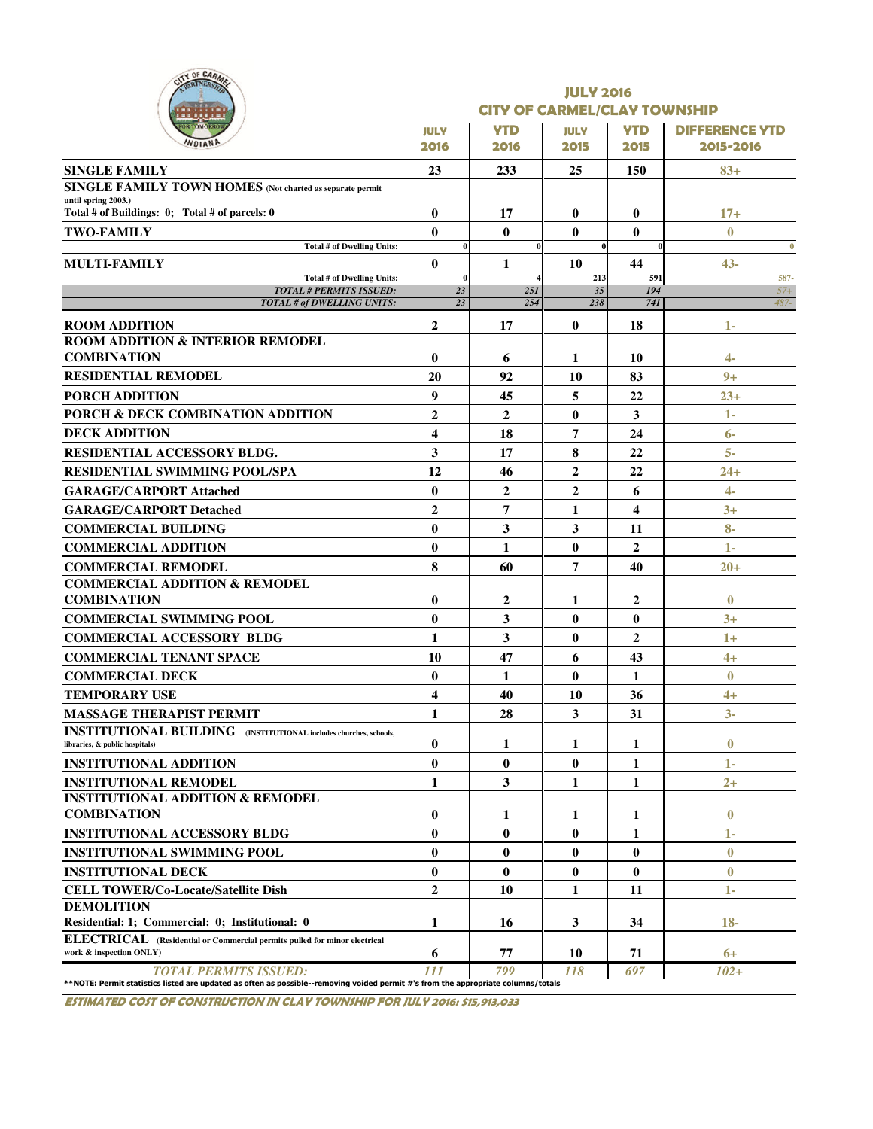| ITY OF CARM<br><b>RTNERSA</b>                                                                                                                                      | <b>JULY 2016</b><br><b>CITY OF CARMEL/CLAY TOWNSHIP</b> |                |                |                |                       |  |  |  |  |  |
|--------------------------------------------------------------------------------------------------------------------------------------------------------------------|---------------------------------------------------------|----------------|----------------|----------------|-----------------------|--|--|--|--|--|
|                                                                                                                                                                    | <b>JULY</b>                                             | <b>YTD</b>     | <b>JULY</b>    | <b>YTD</b>     | <b>DIFFERENCE YTD</b> |  |  |  |  |  |
|                                                                                                                                                                    | 2016                                                    | 2016           | 2015           | 2015           | 2015-2016             |  |  |  |  |  |
| <b>SINGLE FAMILY</b>                                                                                                                                               | 23                                                      | 233            | 25             | 150            | $83+$                 |  |  |  |  |  |
| SINGLE FAMILY TOWN HOMES (Not charted as separate permit                                                                                                           |                                                         |                |                |                |                       |  |  |  |  |  |
| until spring 2003.)<br>Total # of Buildings: 0; Total # of parcels: 0                                                                                              | $\bf{0}$                                                | 17             | $\bf{0}$       | $\bf{0}$       | $17+$                 |  |  |  |  |  |
| <b>TWO-FAMILY</b>                                                                                                                                                  | $\bf{0}$                                                | $\bf{0}$       | $\bf{0}$       | $\bf{0}$       | $\bf{0}$              |  |  |  |  |  |
| Total # of Dwelling Units:                                                                                                                                         | $\bf{0}$                                                |                | $\bf{0}$       |                | $\bf{0}$              |  |  |  |  |  |
| <b>MULTI-FAMILY</b>                                                                                                                                                | $\bf{0}$                                                | 1              | 10             | 44             | $43-$                 |  |  |  |  |  |
| <b>Total # of Dwelling Units</b><br><b>TOTAL # PERMITS ISSUED:</b>                                                                                                 | $\bf{0}$<br>23                                          | 25I            | 213<br>35      | 591<br>194     | 587-<br>$57+$         |  |  |  |  |  |
| TOTAL # of DWELLING UNITS:                                                                                                                                         | 23                                                      | 254            | 238            | 741            | 487-                  |  |  |  |  |  |
| <b>ROOM ADDITION</b>                                                                                                                                               | $\mathbf{2}$                                            | 17             | $\bf{0}$       | 18             | $1-$                  |  |  |  |  |  |
| <b>ROOM ADDITION &amp; INTERIOR REMODEL</b>                                                                                                                        |                                                         |                |                |                |                       |  |  |  |  |  |
| <b>COMBINATION</b>                                                                                                                                                 | $\bf{0}$                                                | 6              | 1              | 10             | 4-                    |  |  |  |  |  |
| <b>RESIDENTIAL REMODEL</b>                                                                                                                                         | 20                                                      | 92             | 10             | 83             | $9+$                  |  |  |  |  |  |
| PORCH ADDITION                                                                                                                                                     | 9                                                       | 45             | 5              | 22             | $23+$                 |  |  |  |  |  |
| PORCH & DECK COMBINATION ADDITION                                                                                                                                  | 2                                                       | $\overline{2}$ | $\bf{0}$       | 3              | 1-                    |  |  |  |  |  |
| <b>DECK ADDITION</b>                                                                                                                                               | 4                                                       | 18             | 7              | 24             | $6-$                  |  |  |  |  |  |
| <b>RESIDENTIAL ACCESSORY BLDG.</b>                                                                                                                                 | 3                                                       | 17             | 8              | 22             | $5-$                  |  |  |  |  |  |
| <b>RESIDENTIAL SWIMMING POOL/SPA</b>                                                                                                                               | 12                                                      | 46             | $\overline{2}$ | 22             | $24+$                 |  |  |  |  |  |
| <b>GARAGE/CARPORT Attached</b>                                                                                                                                     | $\bf{0}$                                                | $\overline{2}$ | $\overline{2}$ | 6              | $\overline{4}$        |  |  |  |  |  |
| <b>GARAGE/CARPORT Detached</b>                                                                                                                                     | $\overline{2}$                                          | 7              | 1              | 4              | $3+$                  |  |  |  |  |  |
| <b>COMMERCIAL BUILDING</b>                                                                                                                                         | $\bf{0}$                                                | 3              | 3              | 11             | $8-$                  |  |  |  |  |  |
| <b>COMMERCIAL ADDITION</b>                                                                                                                                         | $\bf{0}$                                                | 1              | $\bf{0}$       | $\overline{2}$ | 1-                    |  |  |  |  |  |
| <b>COMMERCIAL REMODEL</b><br><b>COMMERCIAL ADDITION &amp; REMODEL</b>                                                                                              | 8                                                       | 60             | 7              | 40             | $20+$                 |  |  |  |  |  |
| <b>COMBINATION</b>                                                                                                                                                 | $\bf{0}$                                                | 2              | 1              | 2              | $\bf{0}$              |  |  |  |  |  |
| <b>COMMERCIAL SWIMMING POOL</b>                                                                                                                                    | $\bf{0}$                                                | 3              | $\bf{0}$       | $\bf{0}$       | $3+$                  |  |  |  |  |  |
| <b>COMMERCIAL ACCESSORY BLDG</b>                                                                                                                                   | 1                                                       | 3              | $\bf{0}$       | $\overline{2}$ | $1+$                  |  |  |  |  |  |
| <b>COMMERCIAL TENANT SPACE</b>                                                                                                                                     | 10                                                      | 47             | 6              | 43             | $4+$                  |  |  |  |  |  |
| <b>COMMERCIAL DECK</b>                                                                                                                                             | $\bf{0}$                                                | 1              | $\bf{0}$       | 1              | $\bf{0}$              |  |  |  |  |  |
| <b>TEMPORARY USE</b>                                                                                                                                               | 4                                                       | 40             | 10             | 36             | $4+$                  |  |  |  |  |  |
| <b>MASSAGE THERAPIST PERMIT</b>                                                                                                                                    | 1                                                       | 28             | 3              | 31             | $3-$                  |  |  |  |  |  |
| <b>INSTITUTIONAL BUILDING</b> (INSTITUTIONAL includes churches, schools,                                                                                           |                                                         |                |                |                |                       |  |  |  |  |  |
| libraries, & public hospitals)                                                                                                                                     | $\bf{0}$                                                | 1              | 1              | 1              | $\bf{0}$              |  |  |  |  |  |
| <b>INSTITUTIONAL ADDITION</b>                                                                                                                                      | $\bf{0}$                                                | 0              | $\bf{0}$       | 1              | 1-                    |  |  |  |  |  |
| <b>INSTITUTIONAL REMODEL</b>                                                                                                                                       | 1                                                       | 3              | 1              | 1              | $2+$                  |  |  |  |  |  |
| <b>INSTITUTIONAL ADDITION &amp; REMODEL</b><br><b>COMBINATION</b>                                                                                                  | $\bf{0}$                                                |                |                |                | $\bf{0}$              |  |  |  |  |  |
| <b>INSTITUTIONAL ACCESSORY BLDG</b>                                                                                                                                | $\bf{0}$                                                | 1<br>$\bf{0}$  | 1<br>$\bf{0}$  | 1<br>1         | 1-                    |  |  |  |  |  |
| <b>INSTITUTIONAL SWIMMING POOL</b>                                                                                                                                 | $\bf{0}$                                                | $\bf{0}$       | $\bf{0}$       | $\bf{0}$       | $\bf{0}$              |  |  |  |  |  |
| <b>INSTITUTIONAL DECK</b>                                                                                                                                          | $\bf{0}$                                                | $\bf{0}$       | $\bf{0}$       | $\bf{0}$       | $\bf{0}$              |  |  |  |  |  |
| <b>CELL TOWER/Co-Locate/Satellite Dish</b>                                                                                                                         | $\overline{2}$                                          | 10             | 1              | 11             | 1-                    |  |  |  |  |  |
| <b>DEMOLITION</b>                                                                                                                                                  |                                                         |                |                |                |                       |  |  |  |  |  |
| Residential: 1; Commercial: 0; Institutional: 0                                                                                                                    | 1                                                       | 16             | 3              | 34             | $18-$                 |  |  |  |  |  |
| <b>ELECTRICAL</b> (Residential or Commercial permits pulled for minor electrical<br>work & inspection ONLY)                                                        | 6                                                       | 77             | 10             | 71             | 6+                    |  |  |  |  |  |
| <b>TOTAL PERMITS ISSUED:</b><br>**NOTE: Permit statistics listed are updated as often as possible--removing voided permit #'s from the appropriate columns/totals. | 111                                                     | 799            | 118            | 697            | $102 +$               |  |  |  |  |  |

ESTIMATED COST OF CONSTRUCTION IN CLAY TOWNSHIP FOR JULY 2016: \$15,913,033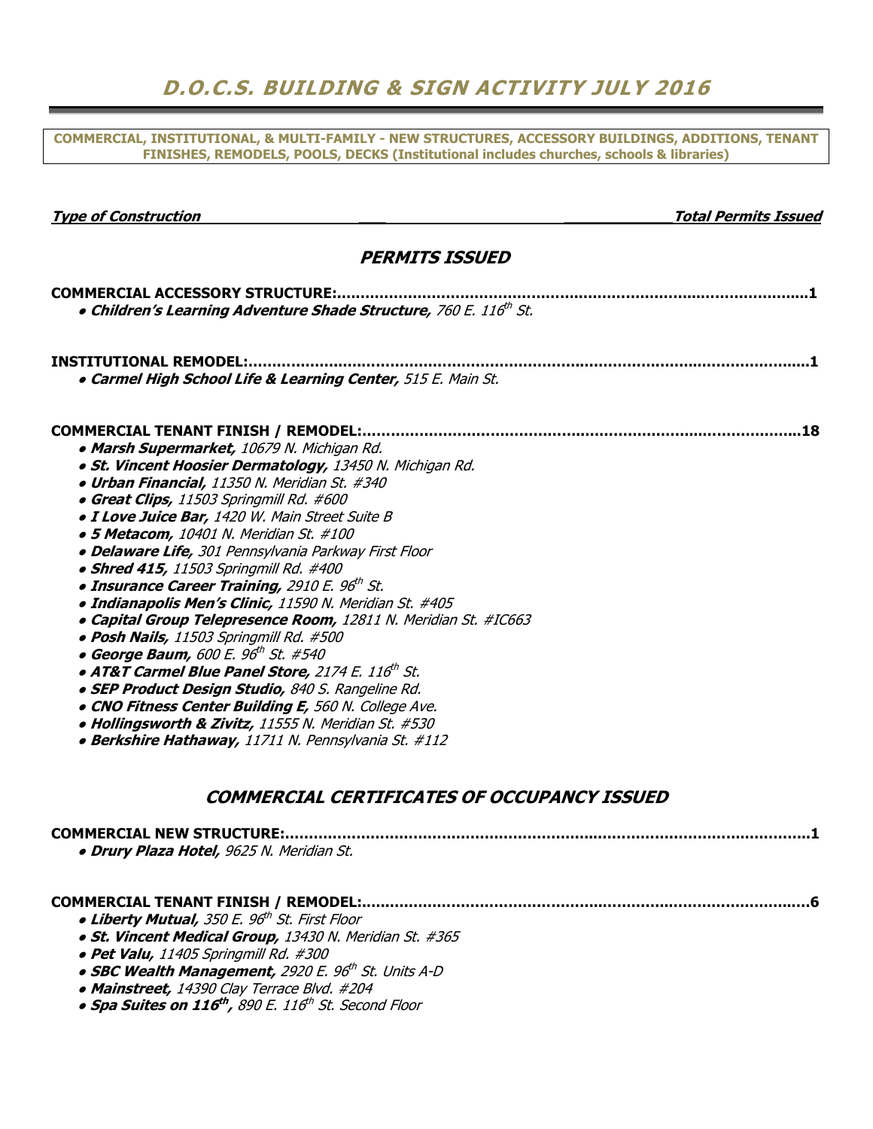### D.O.C.S. BUILDING & SIGN ACTIVITY JULY 2016

COMMERCIAL, INSTITUTIONAL, & MULTI-FAMILY - NEW STRUCTURES, ACCESSORY BUILDINGS, ADDITIONS, TENANT FINISHES, REMODELS, POOLS, DECKS (Institutional includes churches, schools & libraries)

| <b>Type of Construction</b>                                                   | <b>Total Permits Issued</b> |
|-------------------------------------------------------------------------------|-----------------------------|
| <b>PERMITS ISSUED</b>                                                         |                             |
| <b>COMMERCIAL ACCESSORY STRUCTURE:.</b>                                       |                             |
| . Children's Learning Adventure Shade Structure, 760 E. 116th St.             |                             |
| <b>INSTITUTIONAL REMODEL:.</b>                                                |                             |
| · Carmel High School Life & Learning Center, 515 E. Main St.                  |                             |
| <b>COMMERCIAL TENANT FINISH / REMODEL:.</b>                                   | . 18                        |
| • Marsh Supermarket, 10679 N. Michigan Rd.                                    |                             |
| · St. Vincent Hoosier Dermatology, 13450 N. Michigan Rd.                      |                             |
| · Urban Financial, 11350 N. Meridian St. #340                                 |                             |
| • Great Clips, 11503 Springmill Rd. #600                                      |                             |
| · I Love Juice Bar, 1420 W. Main Street Suite B                               |                             |
| · 5 Metacom, 10401 N. Meridian St. #100                                       |                             |
| · Delaware Life, 301 Pennsylvania Parkway First Floor                         |                             |
| • Shred 415, 11503 Springmill Rd. #400                                        |                             |
| • Insurance Career Training, 2910 E. 96th St.                                 |                             |
| · Indianapolis Men's Clinic, 11590 N. Meridian St. #405                       |                             |
| • Capital Group Telepresence Room, 12811 N. Meridian St. #IC663               |                             |
| · Posh Nails, 11503 Springmill Rd. #500                                       |                             |
| • George Baum, 600 E. 96 <sup>th</sup> St. #540                               |                             |
| • AT&T Carmel Blue Panel Store, 2174 E. 116th St.                             |                             |
| · SEP Product Design Studio, 840 S. Rangeline Rd.                             |                             |
| . CNO Fitness Center Building E, 560 N. College Ave.                          |                             |
| • Hollingsworth & Zivitz, 11555 N. Meridian St. #530                          |                             |
| • Berkshire Hathaway, 11711 N. Pennsylvania St. #112                          |                             |
|                                                                               |                             |
| COMMERCIAL CERTIFICATES OF OCCUPANCY ISSUED                                   |                             |
| <b>COMMERCIAL NEW STRUCTURE:</b>                                              |                             |
| <b>• Drury Plaza Hotel,</b> 9625 N. Meridian St.                              |                             |
|                                                                               |                             |
| • Liberty Mutual, 350 E. 96 <sup>th</sup> St. First Floor                     |                             |
| · St. Vincent Medical Group, 13430 N. Meridian St. #365                       |                             |
| · Pet Valu, 11405 Springmill Rd. #300                                         |                             |
| • SBC Wealth Management, 2920 E. 96 <sup>th</sup> St. Units A-D               |                             |
| • Mainstreet, 14390 Clay Terrace Blvd. #204                                   |                             |
| • Spa Suites on 116 <sup>th</sup> , 890 E. 116 <sup>th</sup> St. Second Floor |                             |
|                                                                               |                             |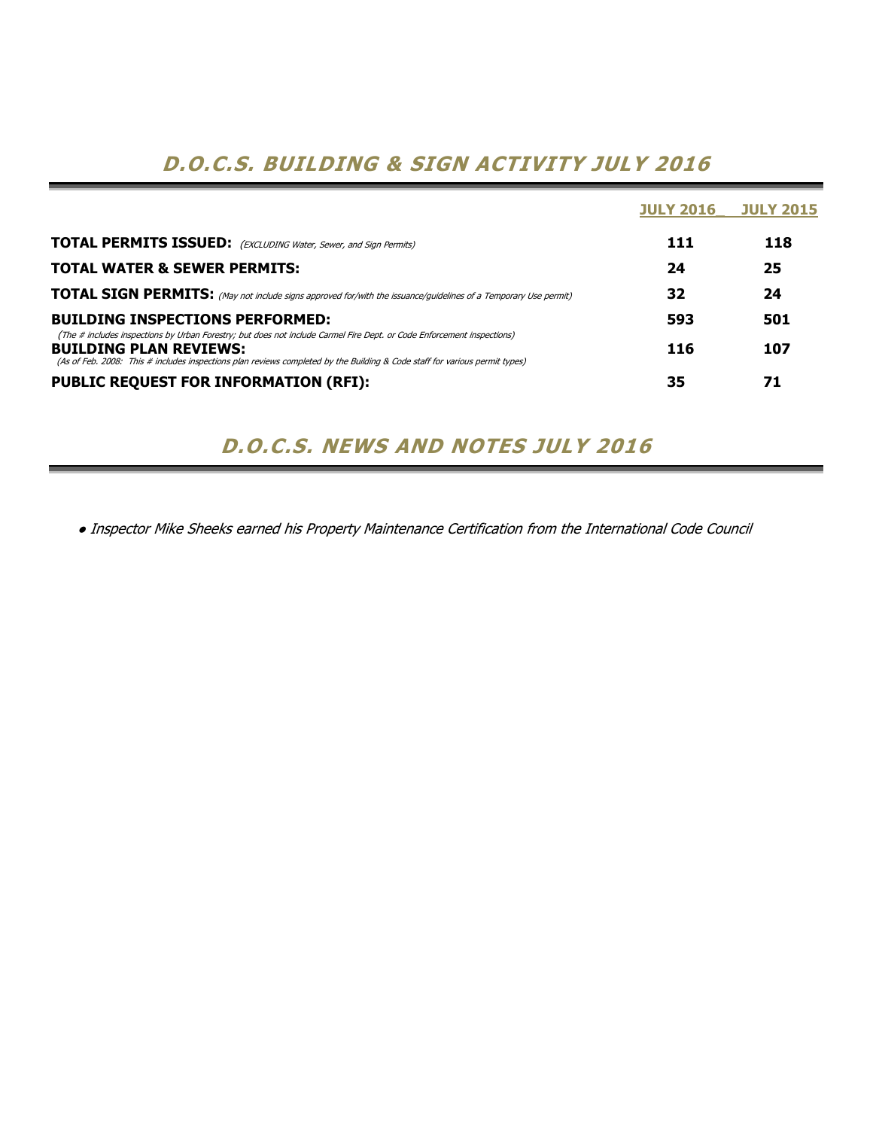## D.O.C.S. BUILDING & SIGN ACTIVITY JULY 2016

|                                                                                                                                                                                                                                                                                        | <b>JULY 2016</b> | <b>JULY 2015</b> |
|----------------------------------------------------------------------------------------------------------------------------------------------------------------------------------------------------------------------------------------------------------------------------------------|------------------|------------------|
| <b>TOTAL PERMITS ISSUED:</b> (EXCLUDING Water, Sewer, and Sign Permits)                                                                                                                                                                                                                | 111              | 118              |
| <b>TOTAL WATER &amp; SEWER PERMITS:</b>                                                                                                                                                                                                                                                | 24               | 25               |
| <b>TOTAL SIGN PERMITS:</b> (May not include signs approved for/with the issuance/guidelines of a Temporary Use permit)                                                                                                                                                                 | 32               | 24               |
| <b>BUILDING INSPECTIONS PERFORMED:</b>                                                                                                                                                                                                                                                 | 593              | 501              |
| (The # includes inspections by Urban Forestry; but does not include Carmel Fire Dept. or Code Enforcement inspections)<br><b>BUILDING PLAN REVIEWS:</b><br>(As of Feb. 2008: This # includes inspections plan reviews completed by the Building & Code staff for various permit types) | 116              | 107              |
| <b>PUBLIC REQUEST FOR INFORMATION (RFI):</b>                                                                                                                                                                                                                                           | 35               | 71               |

### D.O.C.S. NEWS AND NOTES JULY 2016

● Inspector Mike Sheeks earned his Property Maintenance Certification from the International Code Council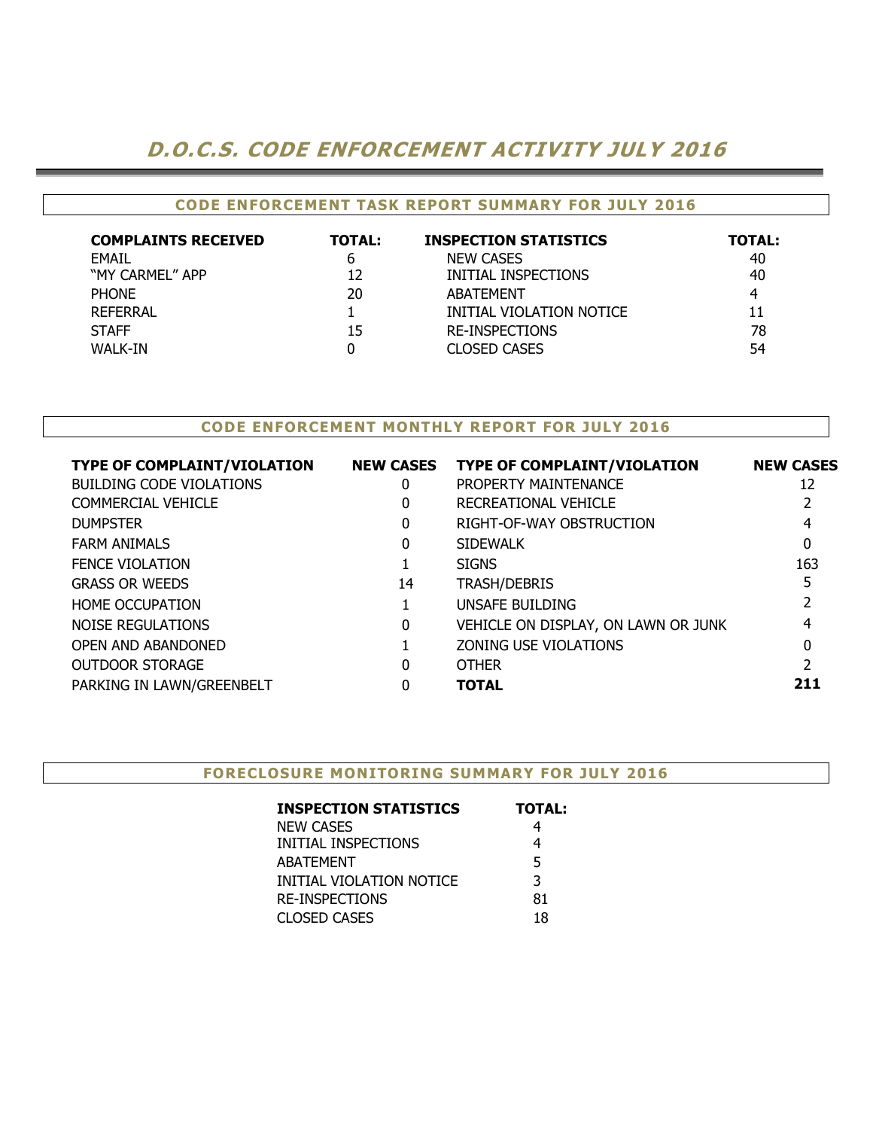### D.O.C.S. CODE ENFORCEMENT ACTIVITY JULY 2016

#### CODE ENFORCEMENT TASK REPORT SUMMARY FOR JULY 2016

| <b>COMPLAINTS RECEIVED</b> | <b>TOTAL:</b> | <b>INSPECTION STATISTICS</b> | <b>TOTAL:</b> |
|----------------------------|---------------|------------------------------|---------------|
| <b>EMAIL</b>               | b             | <b>NEW CASES</b>             | 40            |
| "MY CARMEL" APP            | 12            | INITIAL INSPECTIONS          | 40            |
| <b>PHONE</b>               | 20            | <b>ABATEMENT</b>             | 4             |
| REFERRAL                   |               | INITIAL VIOLATION NOTICE     | 11            |
| <b>STAFF</b>               | 15            | <b>RE-INSPECTIONS</b>        | 78            |
| WALK-IN                    |               | <b>CLOSED CASES</b>          | 54            |

#### CODE ENFORCEMENT MONTHLY REPORT FOR JULY 2016

| <b>TYPE OF COMPLAINT/VIOLATION</b> | <b>NEW CASES</b> | <b>TYPE OF COMPLAINT/VIOLATION</b>  | <b>NEW CASES</b> |
|------------------------------------|------------------|-------------------------------------|------------------|
| <b>BUILDING CODE VIOLATIONS</b>    | 0                | PROPERTY MAINTENANCE                | 12               |
| <b>COMMERCIAL VEHICLE</b>          | 0                | RECREATIONAL VEHICLE                |                  |
| <b>DUMPSTER</b>                    | 0                | RIGHT-OF-WAY OBSTRUCTION            |                  |
| <b>FARM ANIMALS</b>                | 0                | <b>SIDEWALK</b>                     | 0                |
| <b>FENCE VIOLATION</b>             |                  | <b>SIGNS</b>                        | 163              |
| <b>GRASS OR WEEDS</b>              | 14               | <b>TRASH/DEBRIS</b>                 |                  |
| <b>HOME OCCUPATION</b>             |                  | UNSAFE BUILDING                     |                  |
| NOISE REGULATIONS                  | 0                | VEHICLE ON DISPLAY, ON LAWN OR JUNK | 4                |
| OPEN AND ABANDONED                 |                  | ZONING USE VIOLATIONS               | O                |
| <b>OUTDOOR STORAGE</b>             | n                | <b>OTHER</b>                        |                  |
| PARKING IN LAWN/GREENBELT          | n                | <b>TOTAL</b>                        | 211              |
|                                    |                  |                                     |                  |

| <b>FORECLOSURE MONITORING SUMMARY FOR JULY 2016</b> |               |  |
|-----------------------------------------------------|---------------|--|
| <b>INSPECTION STATISTICS</b>                        | <b>TOTAL:</b> |  |
| NEW CASES                                           |               |  |
| INITIAL INSPECTIONS                                 |               |  |
| <b>ABATEMENT</b>                                    |               |  |
| INITIAL VIOLATION NOTICE                            |               |  |
| <b>RE-INSPECTIONS</b>                               | 81            |  |
| <b>CLOSED CASES</b>                                 | 18            |  |
|                                                     |               |  |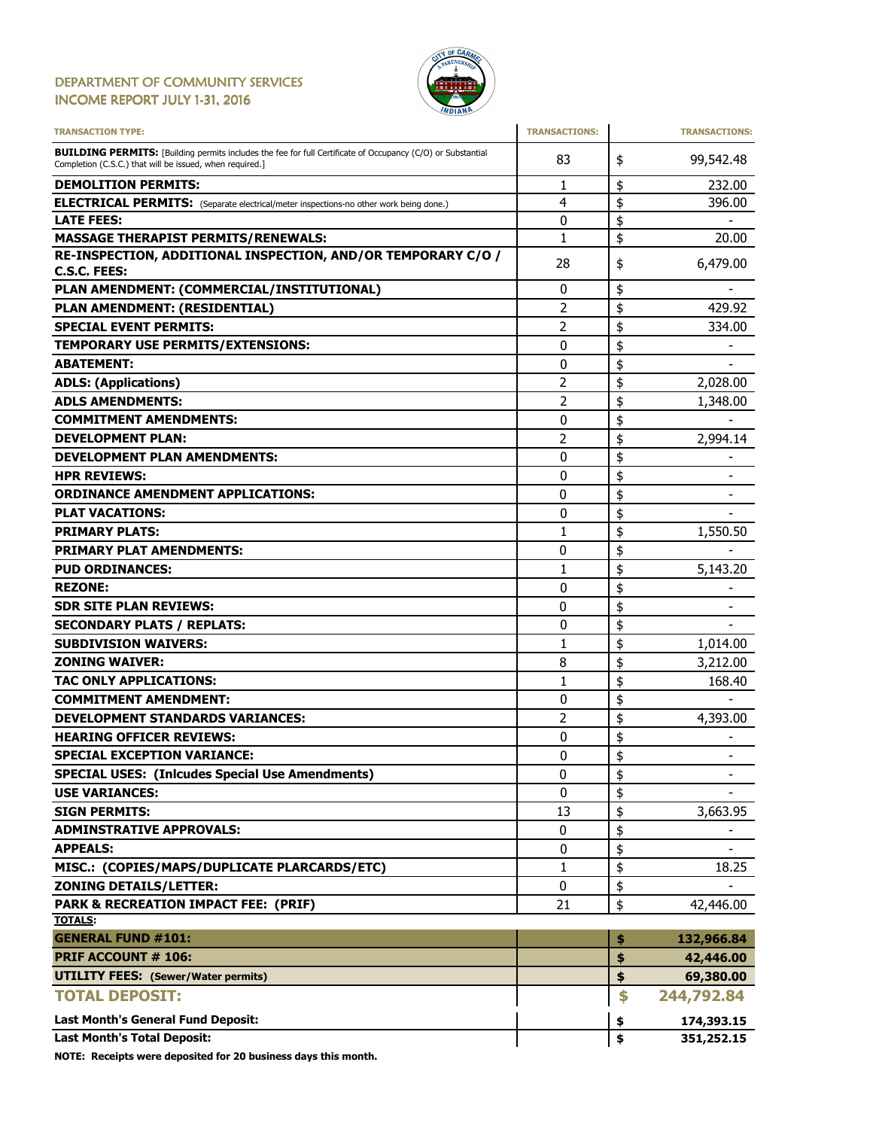#### DEPARTMENT OF COMMUNITY SERVICES INCOME REPORT JULY 1-31, 2016



| <b>TRANSACTION TYPE:</b>                                                                                                                                                       | <b>TRANSACTIONS:</b> | <b>TRANSACTIONS:</b>               |
|--------------------------------------------------------------------------------------------------------------------------------------------------------------------------------|----------------------|------------------------------------|
| <b>BUILDING PERMITS:</b> [Building permits includes the fee for full Certificate of Occupancy (C/O) or Substantial<br>Completion (C.S.C.) that will be issued, when required.] | 83                   | \$<br>99,542.48                    |
| <b>DEMOLITION PERMITS:</b>                                                                                                                                                     | 1                    | \$<br>232.00                       |
| <b>ELECTRICAL PERMITS:</b> (Separate electrical/meter inspections-no other work being done.)                                                                                   | 4                    | \$<br>396.00                       |
| <b>LATE FEES:</b>                                                                                                                                                              | 0                    | \$                                 |
| <b>MASSAGE THERAPIST PERMITS/RENEWALS:</b>                                                                                                                                     | $\mathbf{1}$         | \$<br>20.00                        |
| RE-INSPECTION, ADDITIONAL INSPECTION, AND/OR TEMPORARY C/O /                                                                                                                   | 28                   | \$<br>6,479.00                     |
| C.S.C. FEES:                                                                                                                                                                   |                      |                                    |
| PLAN AMENDMENT: (COMMERCIAL/INSTITUTIONAL)                                                                                                                                     | 0                    | \$                                 |
| PLAN AMENDMENT: (RESIDENTIAL)                                                                                                                                                  | $\overline{2}$       | \$<br>429.92                       |
| <b>SPECIAL EVENT PERMITS:</b>                                                                                                                                                  | 2                    | \$<br>334.00                       |
| TEMPORARY USE PERMITS/EXTENSIONS:                                                                                                                                              | 0                    | \$                                 |
| <b>ABATEMENT:</b>                                                                                                                                                              | 0                    | \$                                 |
| <b>ADLS: (Applications)</b>                                                                                                                                                    | 2                    | \$<br>2,028.00                     |
| <b>ADLS AMENDMENTS:</b>                                                                                                                                                        | $\overline{2}$       | \$<br>1,348.00                     |
| <b>COMMITMENT AMENDMENTS:</b>                                                                                                                                                  | 0                    | \$                                 |
| <b>DEVELOPMENT PLAN:</b>                                                                                                                                                       | 2                    | \$<br>2,994.14                     |
| <b>DEVELOPMENT PLAN AMENDMENTS:</b>                                                                                                                                            | 0                    | \$                                 |
| <b>HPR REVIEWS:</b>                                                                                                                                                            | 0                    | \$                                 |
| <b>ORDINANCE AMENDMENT APPLICATIONS:</b>                                                                                                                                       | 0                    | \$                                 |
| <b>PLAT VACATIONS:</b>                                                                                                                                                         | 0                    | \$                                 |
| <b>PRIMARY PLATS:</b>                                                                                                                                                          | $\mathbf{1}$         | \$<br>1,550.50                     |
| <b>PRIMARY PLAT AMENDMENTS:</b>                                                                                                                                                | 0                    | \$                                 |
| <b>PUD ORDINANCES:</b>                                                                                                                                                         | 1                    | \$<br>5,143.20                     |
| <b>REZONE:</b>                                                                                                                                                                 | 0                    | \$                                 |
| <b>SDR SITE PLAN REVIEWS:</b>                                                                                                                                                  | 0                    | \$<br>$\qquad \qquad \blacksquare$ |
| <b>SECONDARY PLATS / REPLATS:</b>                                                                                                                                              | 0                    | \$                                 |
| <b>SUBDIVISION WAIVERS:</b>                                                                                                                                                    | 1                    | \$<br>1,014.00                     |
| <b>ZONING WAIVER:</b>                                                                                                                                                          | 8                    | \$<br>3,212.00                     |
| <b>TAC ONLY APPLICATIONS:</b>                                                                                                                                                  | 1                    | \$<br>168.40                       |
| <b>COMMITMENT AMENDMENT:</b>                                                                                                                                                   | 0                    | \$                                 |
| <b>DEVELOPMENT STANDARDS VARIANCES:</b>                                                                                                                                        | 2                    | \$<br>4,393.00                     |
| <b>HEARING OFFICER REVIEWS:</b>                                                                                                                                                | 0                    | \$                                 |
| <b>SPECIAL EXCEPTION VARIANCE:</b>                                                                                                                                             | 0                    | \$                                 |
| <b>SPECIAL USES: (Inlcudes Special Use Amendments)</b>                                                                                                                         | 0                    | \$<br>-                            |
| <b>USE VARIANCES:</b>                                                                                                                                                          | 0                    | \$                                 |
| <b>SIGN PERMITS:</b>                                                                                                                                                           | 13                   | \$<br>3,663.95                     |
| <b>ADMINSTRATIVE APPROVALS:</b>                                                                                                                                                | 0                    | \$                                 |
| <b>APPEALS:</b>                                                                                                                                                                | 0                    | \$                                 |
| MISC.: (COPIES/MAPS/DUPLICATE PLARCARDS/ETC)                                                                                                                                   | $\mathbf{1}$         | \$<br>18.25                        |
| <b>ZONING DETAILS/LETTER:</b>                                                                                                                                                  | 0                    | \$                                 |
| PARK & RECREATION IMPACT FEE: (PRIF)                                                                                                                                           | 21                   | \$<br>42,446.00                    |
| <b>TOTALS:</b>                                                                                                                                                                 |                      |                                    |
| <b>GENERAL FUND #101:</b>                                                                                                                                                      |                      | \$<br>132,966.84                   |
| <b>PRIF ACCOUNT # 106:</b>                                                                                                                                                     |                      | \$<br>42,446.00                    |
| <b>UTILITY FEES: (Sewer/Water permits)</b>                                                                                                                                     |                      | \$<br>69,380.00                    |
| <b>TOTAL DEPOSIT:</b>                                                                                                                                                          |                      | \$<br>244,792.84                   |
| <b>Last Month's General Fund Deposit:</b>                                                                                                                                      |                      | \$<br>174,393.15                   |
| <b>Last Month's Total Deposit:</b>                                                                                                                                             |                      | \$<br>351,252.15                   |

NOTE: Receipts were deposited for 20 business days this month.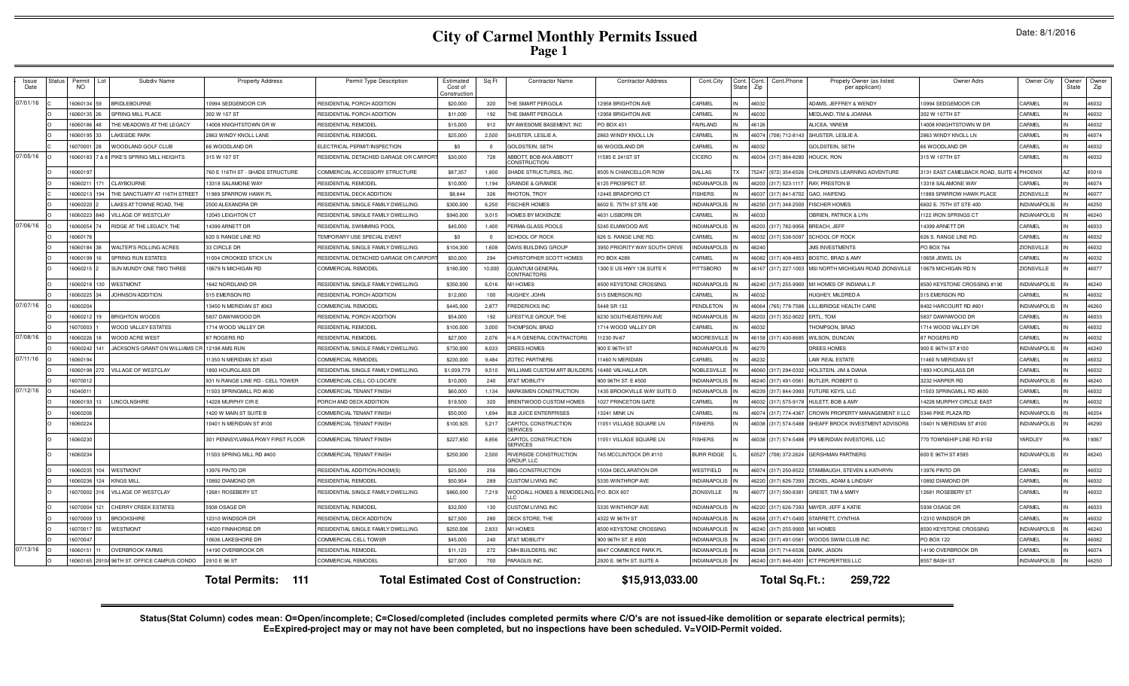# **City of Carmel Monthly Permits Issued Page 1**

|  | Date: 8/1/2016 |  |
|--|----------------|--|
|--|----------------|--|

| Issue<br>Date | Status | Permit<br>NO   | Subdiv Name<br>Lot                          | <b>Property Address</b>           | Permit Type Description               | Estimatec<br>Cost of<br>onstructio | Sq Ft      | <b>Contractor Name</b>                       | <b>Contractor Address</b>     | Cont.City           | <b>State</b> | Cont.Phone<br>Cont. Cont.<br>Propety Owner (as listed<br>Zip<br>per applicant) | Owner Adrs                        | Owner City          | Owner<br>State | Owne<br>Zip |
|---------------|--------|----------------|---------------------------------------------|-----------------------------------|---------------------------------------|------------------------------------|------------|----------------------------------------------|-------------------------------|---------------------|--------------|--------------------------------------------------------------------------------|-----------------------------------|---------------------|----------------|-------------|
| 07/01/16      |        | 16060134<br>59 | <b>BRIDLEBOURNE</b>                         | 10994 SEDGEMOOR CIR               | RESIDENTIAL PORCH ADDITION            | \$20,000                           | 320        | THE SMART PERGOLA                            | 12958 BRIGHTON AVE            | CARMEL              |              | ADAMS, JEFFREY & WENDY<br>46032                                                | 0994 SEDGEMOOR CIR                | CARMEL              |                | 46032       |
|               |        | 16060135 26    | SPRING MILL PLACE                           | 302 W 107 ST                      | RESIDENTIAL PORCH ADDITION            | \$11,000                           | 192        | THE SMART PERGOLA                            | 12958 BRIGHTON AVE            | CARMEL              |              | 46032<br><b>MEDLAND, TIM &amp; JOANNA</b>                                      | 302 W 107TH ST                    | CARMEL              |                | 46032       |
|               |        | 16060186 48    | THE MEADOWS AT THE LEGACY                   | 4008 KNIGHTSTOWN DR W             | RESIDENTIAL REMODEL                   | \$15,000                           | 912        | MY AWESOME BASEMENT. INC                     | PO BOX 431                    | FAIRLAND            |              | 46126<br>ALICEA, YAREMI                                                        | 14008 KNIGHTSTOWN W DR            | CARMEL              |                | 46032       |
|               |        | 16060195 33    | <b>LAKESIDE PARK</b>                        | 2863 WINDY KNOLL LANE             | RESIDENTIAL REMODEL                   | \$25,000                           | 2.500      | SHUSTER, LESLIE A                            | 2863 WINDY KNOLL LN           | CARMEL              |              | 46074 (708) 712-8143<br>SHUSTER, LESLIE A                                      | 2863 WINDY KNOLL LN               | CARMEL              |                | 46074       |
|               |        | 16070001<br>28 | WOODLAND GOLF CLUB                          | 66 WOODLAND DR                    | ELECTRICAL PERMIT/INSPECTION          | \$0                                | $\Omega$   | <b>GOLDSTEIN, SETH</b>                       | 66 WOODLAND DR                | CARMEL              |              | 46032<br><b>GOLDSTEIN, SETH</b>                                                | 66 WOODLAND DR                    | CARMEL              |                | 46032       |
| 07/05/16      |        | 16060183       | <b>88 PIKE'S SPRING MILL HEIGHTS</b>        | 315 W 107 ST                      | RESIDENTIAL DETACHED GARAGE OR CARPOF | \$30,000                           | 728        | ABBOTT, BOB AKA:ABBOTT<br>CONSTRUCTION       | 1585 E 241 ST ST              | CICERO              |              | (317) 984-8280<br>46034<br>HOUCK, RON                                          | 315 W 107TH ST                    | CARMEL              |                | 46032       |
|               |        | 16060197       |                                             | 760 E 116TH ST - SHADE STRUCTURE  | COMMERCIAL ACCESSORY STRUCTURE        | \$87,357                           | 1,800      | SHADE STRUCTURES, INC.                       | 8505 N CHANCELLOR ROW         | DALLAS              |              | 75247<br>(972) 354-6526<br>CHILDREN'S LEARNING ADVENTURE                       | 3131 EAST CAMELBACK ROAD, SUITE 4 | PHOENIX             |                | 85016       |
|               |        | 16060211       | CLAYBOURNE<br>171                           | 13318 SALAMONE WAY                | RESIDENTIAI REMODEI                   | \$10,000                           | 1,194      | <b>GRANDE &amp; GRANDE</b>                   | 6125 PROSPECT ST.             | <b>INDIANAPOLIS</b> |              | (317) 523-1117<br>RAY, PRESTON B<br>46203                                      | 13318 SALAMONE WAY                | CARMEL              |                | 46074       |
|               |        | 16060213       | 194<br>THE SANCTUARY AT 116TH STREET        | 1989 SPARROW HAWK PL              | RESIDENTIAL DECK ADDITION             | \$8.644                            | 326        | RHOTON, TROY                                 | 12445 BRADFORD CT             | <b>FISHERS</b>      |              | (317) 841-8702<br><b>GAO, HAIFENG</b><br>46037                                 | 11989 SPARROW HAWK PLACE          | <b>ZIONSVILLE</b>   |                | 46077       |
|               |        | 16060220       | LAKES AT TOWNE ROAD, THE                    | 2500 ALEXANDRA DR                 | RESIDENTIAL SINGLE FAMILY DWELLING    | \$300,000                          | 6,250      | <b>FISCHER HOMES</b>                         | 6602 E. 75TH ST STE 400       | <b>INDIANAPOLIS</b> |              | 46250 (317) 348-2500<br><b>FISCHER HOMES</b>                                   | 6602 E. 75TH ST STE 400           | NDIANAPOLIS         |                | 46250       |
|               |        | 22208081       | <b>VILLAGE OF WESTCLAY</b><br>840           | 2045 LEIGHTON CT                  | RESIDENTIAL SINGLE FAMILY DWELLING    | \$940,000                          | 9.015      | <b>HOMES BY MCKENZIE</b>                     | 4631 LISBORN DR               | CARMEL              |              | <b>2021</b><br><b>DBRIEN, PATRICK &amp; LYN</b>                                | 1122 IRON SPRINGS CT              | <b>INDIANAPOLIS</b> |                | 46240       |
| 07/06/16      |        | 16060054       | RIDGE AT THE LEGACY. THE                    | 4399 ARNETT DR                    | RESIDENTIAL SWIMMING POOL             | \$45,000                           | 1.400      | PERMA-GLASS POOLS                            | 5245 ELMWOOD AVE              | NDIANAPOLIS         |              | (317) 782-9956<br>46203<br>BREACH, JEFF                                        | 14399 ARNETT DR                   | CARMEL              |                | 46033       |
|               |        | 1606017        |                                             | 620 S RANGE LINE RD               | TEMPORARY USE SPECIAL EVENT           | \$0                                | $^{\circ}$ | SCHOOL OF ROCK                               | 626 S. RANGE LINE RD          | CARMEL              |              | (317) 538-5097<br>SCHOOL OF ROCK<br>46032                                      | 626 S. RANGE LINE RD.             | CARMEL              |                | 46032       |
|               |        | 16060184       | WALTER'S ROLLING ACRES                      | 33 CIRCLE DF                      | RESIDENTIAL SINGLE FAMILY DWELLING    | \$104,300                          | 1,608      | DAVIS BUILDING GROUP                         | 3950 PRIORITY WAY SOUTH DRIVE | <b>INDIANAPOLIS</b> |              | 46240<br><b>JMS INVESTMENTS</b>                                                | <b>PO BOX 764</b>                 | <b>ZIONSVILLE</b>   |                | 46032       |
|               |        | 16060199       | SPRING RUN ESTATES                          | 1004 CROOKED STICK LN             | RESIDENTIAL DETACHED GARAGE OR CARPO  | \$50,000                           | 294        | CHRISTOPHER SCOTT HOMES                      | O BOX 4289                    | CARMEL              |              | 46082 (317) 408-4853<br>BOSTIC, BRAD & AMY                                     | 0658 JEWEL LN                     | <b>ARMEL</b>        |                | 46032       |
|               |        | 6060215        | SUN MUNDY ONE TWO THREE                     | 10679 N MICHIGAN RD               | COMMERCIAL REMODEL                    | \$180,000                          | 10,000     | <b>QUANTUM GENERAL</b><br>CONTRACTORS        | 1300 E US HWY 136 SUITE K     | PITTSBORO           |              | 46167 (317) 227-1003<br>MSI NORTH MICHIGAN ROAD ZIONSVILLE                     | 10679 MICHIGAN RD N               | <b>ZIONSVILLE</b>   |                | 16077       |
|               |        | 16060218       | 130<br><b>WESTMONT</b>                      | 642 NORDLAND DR                   | RESIDENTIAL SINGLE FAMILY DWELLING    | \$350,000                          | 6.016      | MI HOMES                                     | 8500 KEYSTONE CROSSING        | <b>INDIANAPOLIS</b> |              | 46240 (317) 255-9900<br>M/I HOMES OF INDIANA L.P.                              | 8500 KEYSTONE CROSSING #190       | <b>NDIANAPOLIS</b>  |                | 46240       |
|               |        | 16060225       | JOHNSON ADDITION                            | 515 EMERSON RD                    | RESIDENTIAL PORCH ADDITION            | \$12,000                           | 100        | HUGHEY, JOHN                                 | 515 EMERSON RD                | CARMEL              |              | 46032<br>HUGHEY, MILDRED A                                                     | 515 EMERSON RD                    | <b>CARMEL</b>       |                | 46032       |
| 07/07/16      |        | 1606020        |                                             | 3450 N MERIDIAN ST #363           | COMMERCIAL REMODEL                    | \$445,000                          | 2,877      | FREDERICKS INC                               | 5448 SR 132                   | PENDLETON           |              | (765) 778-7588<br><b>ILLIBRIDGE HEALTH CARE</b><br>46064                       | 8402 HARCOURT RD #60              | <b>INDIANAPOLIS</b> |                | 46260       |
|               |        | 16060212<br>19 | <b>BRIGHTON WOODS</b>                       | 5837 DAWNWOOD DE                  | RESIDENTIAL PORCH ADDITION            | \$54,000                           | 192        | LIFESTYLE GROUP, THE                         | 6230 SOUTHEASTERN AVE         | NDIANAPOLIS         |              | (317) 352-9022<br>ERTL, TOM<br>46203                                           | 5837 DAWNWOOD DE                  | CARMEL              |                | 46033       |
|               |        | 6070003        | WOOD VALLEY ESTATES                         | 714 WOOD VALLEY DR                | RESIDENTIAL REMODEI                   | \$100,000                          | 3,000      | THOMPSON, BRAD                               | 1714 WOOD VALLEY DR           | CARMEL              |              | HOMPSON, BRAD<br>16032                                                         | 714 WOOD VALLEY DF                | CARMEL              |                | 46032       |
| 07/08/16      |        | 16060226       | WOOD ACRE WEST                              | 7 ROGERS RD                       | RESIDENTIAL REMODEI                   | \$27,000                           | 2,076      | <b>4 &amp; R GENERAL CONTRACTORS</b>         | 1230 IN-67                    | <b>MOORESVILLE</b>  |              | 46158 (317) 430-8685<br>WILSON, DUNCAN                                         | 37 ROGERS RD                      | CARMEL              |                | 46032       |
|               |        | 16060242       | JACKSON'S GRANT ON WILLIAMS CR              | 2198 AMS RUN                      | RESIDENTIAL SINGLE FAMILY DWELLING    | \$730,000                          | 8.033      | DREES HOMES                                  | 900 E 96TH ST                 | NDIANAPOLIS         |              | <b>PREES HOMES</b><br>4627                                                     | 900 E 96TH ST #100                | NDIANAPOLIS         |                | 46240       |
| 07/11/16      |        | 16060194       |                                             | 1350 N MERIDIAN ST #340           | COMMERCIAL REMODEL                    | \$230,000                          | 9.484      | ZOTEC PARTNERS                               | 1460 N MERIDIAN               | CARMEL              |              | AW REAL ESTATE<br>46232                                                        | 1460 N MERIDIAN ST                | CARMEL              |                | 46032       |
|               |        | 16060198 272   | VILLAGE OF WESTCLAY                         | 1893 HOURGLASS DR                 | RESIDENTIAL SINGLE FAMILY DWELLING    | \$1,009,779                        | 9,510      | WILLIAMS CUSTOM ART BUILDERS                 | 16480 VALHALLA DR             | NOBLESVILLE         |              | 46060 (317) 294-0332<br>HOLSTEIN, JIM & DIANA                                  | 1893 HOURGLASS DR                 | CARMEL              |                | 46032       |
|               |        | 16070012       |                                             | 931 N RANGE LINE RD - CELL TOWER  | COMMERCIAL CELL CO-LOCATE             | \$10,000                           | 240        | AT&T MOBILITY                                | 900 96TH ST. E #500           | <b>INDIANAPOLIS</b> |              | 46240 (317) 491-0561<br><b>BUTLER, ROBERT G</b>                                | 3232 HARPER RD                    | NDIANAPOLIS         |                | 46240       |
| 07/12/16      |        | 1604001        |                                             | 1503 SPRINGMILL RD #600           | COMMERCIAL TENANT FINISH              | \$60,000                           | 1.134      | MARKSMEN CONSTRUCTION                        | 1435 BROOKVILLE WAY SUITE D   | NDIANAPOLIS         |              | 46239 (317) 844-3993<br>FUTURE KEYS, LLC                                       | 11503 SPRINGMILL RD #600          | CARMEL              |                | 46032       |
|               |        | 16060193       | <b>LINCOLNSHIRE</b>                         | 4228 MURPHY CIR E                 | PORCH AND DECK ADDITION               | \$19,500                           | 320        | BRENTWOOD CUSTOM HOMES                       | 027 PRINCETON GATE            | CARMEL              |              | 46032<br>(317) 575-9178<br>HULETT, BOB & AMY                                   | 4228 MURPHY CIRCLE EAST           | CARMEL              |                | 46032       |
|               |        | 1606020        |                                             | 420 W MAIN ST SUITE B             | COMMERCIAL TENANT FINISH              | \$50,000                           | 1,694      | <b>BLB JUICE ENTERPRISES</b>                 | 13241 MINK I N                | CARMEL              |              | 46074<br>(317) 774-4367<br>CROWN PROPERTY MANAGEMENT II LLC                    | 5346 PIKE PLAZA RD                | <b>INDIANAPOLIS</b> |                | 46254       |
|               |        | 16060224       |                                             | 0401 N MERIDIAN ST #100           | COMMERCIAL TENANT FINISH              | \$100,925                          | 5,217      | CAPITOL CONSTRUCTION<br>SERVICES             | 11051 VILLAGE SQUARE LN       | <b>FISHERS</b>      |              | 46038 (317) 574-5488<br>SHEAFF BROCK INVESTMENT ADVISORS                       | 10401 N MERIDIAN ST #100          | <b>INDIANAPOLIS</b> |                | 46290       |
|               |        | 16060230       |                                             | 301 PENNSYLVANIA PKWY FIRST FLOOR | COMMERCIAL TENANT FINISH              | \$227,850                          | 8,856      | CAPITOL CONSTRUCTION<br>SERVICES             | 11051 VILLAGE SQUARE LN       | <b>FISHERS</b>      |              | 46038 (317) 574-5488<br>IP9 MERIDIAN INVESTORS. LLC                            | 70 TOWNSHIP LINE RD #150          | YARDLEY             |                | 19067       |
|               |        | 6060234        |                                             | 1503 SPRING MILL RD #400          | COMMERCIAL TENANT FINISH              | \$250,000                          | 2,500      | RIVERSIDE CONSTRUCTION<br><b>GROUP LLC</b>   | 745 MCCLINTOCK DR #110        | <b>BURR RIDGE</b>   |              | 60527<br>(708) 372-2624<br><b>GERSHMAN PARTNERS</b>                            | 600 E 96TH ST #595                | NDIANAPOLIS         |                | 46240       |
|               |        | 16060235 104   | WESTMONT                                    | 13976 PINTO DR                    | RESIDENTIAL ADDITION-ROOM(S)          | \$25,000                           | 256        | <b>BBG CONSTRUCTION</b>                      | 15034 DECLARATION DR          | WESTFIELD           |              | 46074 (317) 250-8522<br>STAMBAUGH, STEVEN & KATHRYN                            | 13976 PINTO DR                    | CARMEL              |                | 46032       |
|               |        |                | 16060236 124 KINGS MILL                     | 0892 DIAMOND DF                   | RESIDENTIAL REMODEL                   | \$50.954                           | 289        | CUSTOM LIVING INC                            | 5335 WINTHROP AVE             | <b>INDIANAPOLIS</b> |              | 46220<br>(317) 626-7393<br>ZECKEL, ADAM & LINDSAY                              | 10892 DIAMOND DF                  | CARMEL              |                | 46032       |
|               |        | 6070002 316    | <b>VILLAGE OF WESTCLAY</b>                  | 12681 ROSEBERY ST                 | RESIDENTIAL SINGLE FAMILY DWELLING    | \$860,000                          | 7,219      | WOODALL HOMES & REMODELING                   | P.O. BOX 807                  | <b>ZIONSVILLE</b>   |              | 46077 (317) 590-8381<br><b>GREIST, TIM &amp; MARY</b>                          | 12681 ROSEBERY ST                 | CARMEL              |                | 46032       |
|               |        | 6070004<br>121 | CHERRY CREEK ESTATES                        | 938 OSAGE DR                      | RESIDENTIAL REMODEL                   | \$32,000                           | 130        | CUSTOM LIVING INC                            | 5335 WINTHROP AVE             | <b>NDIANAPOLIS</b>  |              | 46220 (317) 626-7393<br>MAYER, JEFF & KATIE                                    | 5938 OSAGE DR                     | CARMEL              |                | 46033       |
|               |        | 6070009<br>13  | <b>BROOKSHIRE</b>                           | 2310 WINDSOR DR                   | RESIDENTIAL DECK ADDITION             | \$27,500                           | 280        | DECK STORE. THE                              | 4322 W 96TH ST                | NDIANAPOLIS         |              | 46268 (317) 471-0400<br>STARRETT, CYNTHIA                                      | 12310 WINDSOR DR                  | <b>ARMEL</b>        |                | 16032       |
|               |        | 16070017<br>55 | WESTMONT                                    | 4020 FINNHORSE DR                 | RESIDENTIAL SINGLE FAMILY DWELLING    | \$250,006                          | 2,833      | M/I HOMES                                    | 8500 KEYSTONE CROSSING        | NDIANAPOLIS         |              | 46240 (317) 255-9900<br><b>M/I HOMES</b>                                       | 8500 KEYSTONE CROSSING            | NDIANAPOLIS         |                | 46240       |
|               |        | 16070047       |                                             | 0636 LAKESHORE DR                 | COMMERCIAL CELL TOW ER                | \$45,000                           | 240        | AT&T MOBILITY                                | 900 96TH ST. E #500           | <b>NDIANAPOLIS</b>  |              | WOODS SWIM CLUB INC<br>46240 (317) 491-0561                                    | PO BOX 122                        | CARMEL              |                | 46082       |
| 07/13/16      | IO     | 16060151       | <b>OVERBROOK FARMS</b>                      | 14190 OVERBROOK DR                | RESIDENTIAL REMODEL                   | \$11,123                           | 272        | CMH BUILDERS, INC                            | 8847 COMMERCE PARK PL         | <b>NDIANAPOLIS</b>  |              | 46268 (317) 714-6536<br>DARK, JASON                                            | 14190 OVERBROOK DR                | CARMEL              |                | 46074       |
|               |        |                | 16060165 2910A 96TH ST. OFFICE CAMPUS CONDO | 2910 E 96 ST                      | COMMERCIAL REMODEL                    | \$27,000                           | 700        | PARAGUS INC                                  | 2920 E. 96TH ST. SUITE A      | INDIANAPOLIS IN     |              | 46240 (317) 846-4001<br><b>ICT PROPERTIES LLC</b>                              | 8557 BASH ST                      | <b>NDIANAPOLIS</b>  |                | 46250       |
|               |        |                |                                             | <b>Total Permits: 111</b>         |                                       |                                    |            | <b>Total Estimated Cost of Construction:</b> | \$15,913,033.00               |                     |              | Total Sq.Ft.:<br>259.722                                                       |                                   |                     |                |             |

Status(Stat Column) codes mean: O=Open/incomplete; C=Closed/completed (includes completed permits where C/O's are not issued-like demolition or separate electrical permits);<br>E=Expired-project may or may not have been compl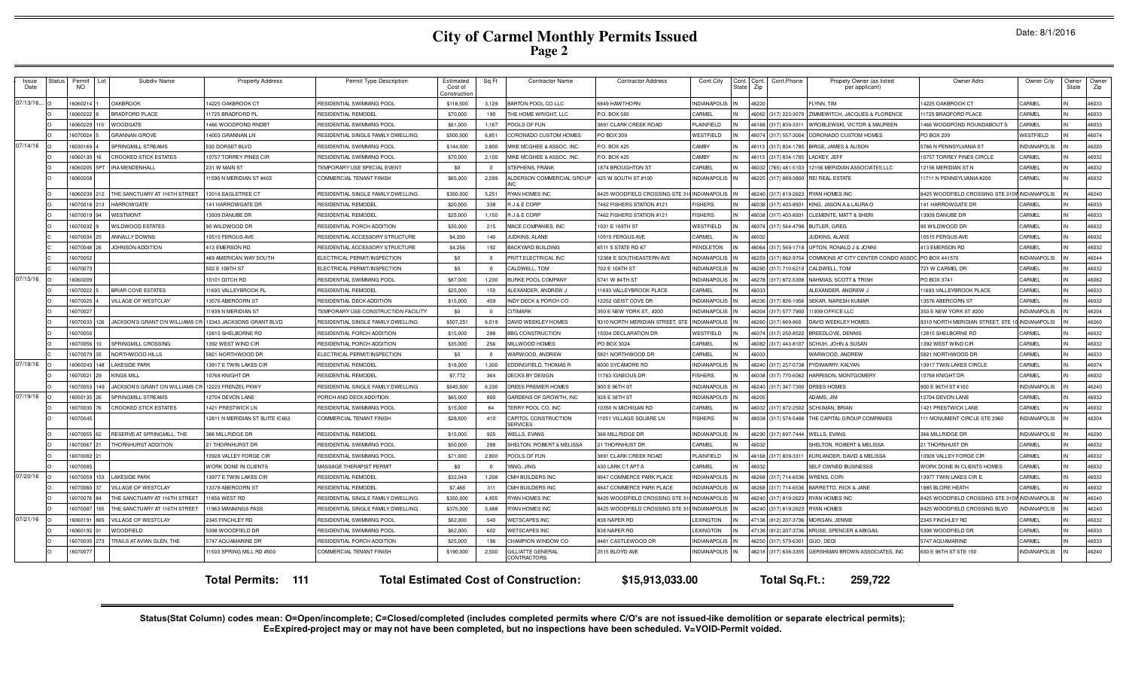# **City of Carmel Monthly Permits Issued Page 2**

|  | Date: 8/1/2016 |
|--|----------------|
|--|----------------|

| Issue<br>Date | Status | Permit<br><b>NO</b> |     | Subdiv Name                    | <b>Property Address</b>        | Permit Type Description                    | Estimated<br>Cost of<br>`onstructic | Sq Ft          | <b>Contractor Name</b>                       | <b>Contractor Address</b>       | Cont.City           | State | Cont. Cont.<br>Cont.Phone<br>Zip | Propety Owner (as listed<br>per applicant) | Owner Adrs                                      | Owner City          | Owner<br>State | Owner<br>Zip |
|---------------|--------|---------------------|-----|--------------------------------|--------------------------------|--------------------------------------------|-------------------------------------|----------------|----------------------------------------------|---------------------------------|---------------------|-------|----------------------------------|--------------------------------------------|-------------------------------------------------|---------------------|----------------|--------------|
| 07/13/16.     |        | 1606021             |     | <b>OAKBROOK</b>                | 4225 OAKBROOK CT               | RESIDENTIAL SWIMMING POOL                  | \$118,500                           | 3.129          | BARTON POOL CO LLC                           | 6849 HAWTHORN                   | <b>INDIANAPOLIS</b> |       | 46220                            | FLYNN, TIM                                 | 14225 OAKBROOK CT                               | CARMEL              |                | 46033        |
|               |        | 1606022             |     | <b>BRADFORD PLACE</b>          | 1725 BRADFORD PL               | RESIDENTIAL REMODEL                        | \$70,000                            | 190            | THE HOME WRIGHT, LLC                         | P.O. BOX 585                    | CARMEL              |       | 46082<br>(317) 223-3070          | ZIMMEWITCH, JACQUES & FLORENCE             | 1725 BRADFORD PLACE                             | CARMEL              |                | 46033        |
|               |        | 3908022             |     | <b>WOODGATE</b>                | 466 WOODPOND RNDR              | RESIDENTIAL SWIMMING POOL                  | \$61,000                            | 1,167          | POOLS OF FUN                                 | 3891 CLARK CREEK ROAD           | PLAINFIELD          |       | 317) 839-3311<br>4616            | WROBLEWSKI, VICTOR & MAUREEN               | 1466 WOODPOND ROUNDABOUT S                      | CARMEL              |                | 46033        |
|               |        | 607002              |     | <b>GRANNAN GROVE</b>           | 4003 GRANNAN LN                | RESIDENTIAL SINGLE FAMILY DWELLING         | \$500,000                           | 6,851          | CORONADO CUSTOM HOMES                        | PO BOX 209                      | WESTFIELD           |       | (317) 557-3004<br>4607           | CORONADO CUSTOM HOMES                      | PO BOX 209                                      | <b>WESTFIELD</b>    |                | 46074        |
| 07/14/16      |        | 1603016             |     | SPRINGMILL STREAMS             | 32 DORSET BLVD                 | RESIDENTIAL SWIMMING POOI                  | \$144,000                           | 2,800          | MIKE MCGHEE & ASSOC. INC                     | P.O. BOX 425                    | CAMBY               |       | 4611<br>317) 834-1785            | BIRGE, JAMES & ALISON                      | 5766 N PENNSYLVANIA ST                          | <b>INDIANAPOLIS</b> |                | 46220        |
|               |        | 606013              |     | <b>CROOKED STICK ESTATES</b>   | 0757 TORREY PINES CIR          | RESIDENTIAL SWIMMING POOI                  | \$70,000                            | 2,100          | MIKE MCGHEE & ASSOC. INC.                    | P.O. BOX 425                    | CAMBY               |       | 4611<br>317) 834-1785            | <b>ACKEY, JEFF</b>                         | 0757 TORREY PINES CIRCLE                        | CARMEL              |                | 46032        |
|               |        | 606020              |     | <b>IRA MENDENHALL</b>          | 31 W MAIN ST                   | <b>FEMPORARY USE SPECIAL EVENT</b>         | \$0                                 | $\Omega$       | STEPHENS, FRANK                              | 1874 BROUGHTON ST               | CARMEL              |       | 765) 481-5103<br>4603            | 12156 MERIDIAN ASSOCIATES LLC              | 2156 MERIDIAN ST N                              | CARMEL              |                | 46032        |
|               |        | 6060208             |     |                                | 1590 N MERIDIAN ST #405        | COMMERCIAL TENANT FINISH                   | \$65,000                            | 2,599          | ALDERSON COMMERCIAL GROUP                    | 425 W SOUTH ST #100             | NDIANAPOLIS         |       | 46225<br>(317) 889-3800          | REI REAL ESTATE                            | 1711 N PENNSYLVANIA #200                        | CARMEL              |                | 46032        |
|               |        | 6060239             |     | THE SANCTUARY AT 116TH STREET  | 2018 EAGLETREE CT              | RESIDENTIAL SINGLE FAMILY DWELLING         | \$350,000                           | 5.251          | RYAN HOMES INC                               | 3425 WOODFIELD CROSSING STE 3   | INDIANAPOLIS        |       | 46240<br>(317) 819-2623          | <b>RYAN HOMES INC</b>                      | 8425 WOODFIELD CROSSING STE 31                  | <b>INDIANAPOLIS</b> |                | 46240        |
|               |        | 1607001             |     | <b>HARROWGATE</b>              | 41 HARROWGATE DF               | RESIDENTIAL REMODE                         | \$20,000                            | 338            | R J & E CORP                                 | 7462 FISHERS STATION #121       | <b>FISHERS</b>      |       | (317) 403-8931<br>4603           | KING, JASON A & LAURA O                    | 141 HARROWGATE DF                               | <b>CARMEL</b>       |                | 46033        |
|               |        | 1607001             |     | WESTMONT                       | 3939 DANUBE DR                 | RESIDENTIAL REMODEL                        | \$25,000                            | 1,150          | R J & E CORP                                 | 7462 FISHERS STATION #121       | <b>FISHERS</b>      |       | (317) 403-8931<br>4603           | CLEMENTE, MATT & SHER                      | 13939 DANUBE DR                                 | CARMEL              |                | 46033        |
|               |        | 1607003             |     | <b>WILDWOOD ESTATES</b>        | 00 WILDWOOD DR                 | RESIDENTIAL PORCH ADDITION                 | \$35,000                            | 215            | MACE COMPANIES, INC                          | 1031 E 169TH ST                 | WESTFIELD           |       | 4607<br>(317) 564-4798           | BUTLER, GREG                               | 90 WILDWOOD DR                                  | CARMEI              |                | 46032        |
|               |        | 6070034             |     | <b>ANNALLY DOWNS</b>           | 0515 FERGUS AVE                | RESIDENTIAL ACCESSORY STRUCTURE            | \$4,200                             | 140            | JUDKINS, ALANE                               | 10515 FERGUS AVE                | CARMEL              |       | 8034                             | JUDKINS, ALANE                             | 10515 FERGUS AVE                                | CARMEL              |                | 46032        |
|               |        | 6070048             |     | JOHNSON ADDITION               | 13 EMERSON RD                  | RESIDENTIAL ACCESSORY STRUCTURE            | \$4,256                             | 192            | <b>BACKYARD BUILDING</b>                     | <b>6511 S STATE RD 67</b>       | PENDLETON           |       | (317) 569-1718<br>46064          | UPTON, RONALD J & JONNI                    | 113 EMERSON RD                                  | CARMEL              |                | 46032        |
|               |        | 607005              |     |                                | <b>169 AMERICAN WAY SOUTH</b>  | <b>ELECTRICAL PERMIT/INSPECTION</b>        | \$0                                 | $\Omega$       | PRITT ELECTRICAL INC                         | 2368 E SOUTHEASTERN AVE         | <b>NDIANAPOLIS</b>  |       | (317) 862-9754<br>46259          | COMMONS AT CITY CENTER CONDO ASSOC         | PO BOX 441570                                   | <b>INDIANAPOLIS</b> |                | 46244        |
|               |        | 607007              |     |                                | 502 E 108TH ST                 | ELECTRICAL PERMIT/INSPECTION               | \$0                                 | $\overline{0}$ | CALDWELL, TOM                                | 702 E 108TH ST                  | NDIANAPOLIS         |       | (317) 710-6210<br>46280          | CALDWELL, TOM                              | 721 W CARMEL DR                                 | CARMEL              |                | 46032        |
| 07/15/16      |        | 1606020             |     |                                | 0101 DITCH RD                  | RESIDENTIAL SWIMMING POOI                  | \$87,000                            | 1,230          | <b>BURKE POOL COMPANY</b>                    | 5741 W 84TH ST                  | INDIANAPOLIS        |       | 4627<br>(317) 872-5308           | NAHMIAS, SCOTT & TRISH                     | PO BOX 3741                                     | CARMEL              |                | 46082        |
|               |        | 16070022            |     | <b>BRIAR COVE ESTATES</b>      | 1693 VALLEYBROOK PL            | RESIDENTIAL REMODEL                        | \$25,000                            | 150            | ALEXANDER, ANDREW J                          | 11693 VALLEYBROOK PLACE         | CARMEL              |       | 46033                            | ALEXANDER, ANDREW J                        | 11693 VALLEYBROOK PLACE                         | CARMEL              |                | 46033        |
|               |        | 1607002             |     | VILLAGE OF WESTCLAY            | 3576 ABERCORN ST               | RESIDENTIAL DECK ADDITION                  | \$15,000                            | 459            | INDY DECK & PORCH CO                         | 12252 GEIST COVE DR             | NDIANAPOLIS         |       | 46236<br>(317) 826-1956          | SEKAR, NARESH KUMAR                        | 13576 ABERCORN ST                               | CARMEL              |                | 46032        |
|               |        | 16070027            |     |                                | 1939 N MERIDIAN ST             | <b>FEMPORARY USE CONSTRUCTION FACILITY</b> | \$0                                 | $\Omega$       | <b>CITIMARK</b>                              | 350 E NEW YORK ST., #200        | <b>NDIANAPOLIS</b>  |       | (317) 577-7900<br>4620           | 11939 OFFICE LLC                           | 350 E NEW YORK ST #200                          | <b>INDIANAPOLIS</b> |                | 46204        |
|               |        | 1607003             |     | JACKSON'S GRANT ON WILLIAMS CF | 2343 JACKSONS GRANT BLVD       | RESIDENTIAL SINGLE FAMILY DWELLING         | \$507,251                           | 6.019          | DAVID WEEKLEY HOMES                          | 9310 NORTH MERIDIAN STREET, STE | <b>INDIANAPOLIS</b> |       | (317) 669-860<br>4626            | DAVID WEEKLEY HOMES                        | 9310 NORTH MERIDIAN STREET, STE 10 INDIANAPOLIS |                     |                | 46260        |
|               |        | 1607005             |     |                                | 2815 SHELBORNE RD              | RESIDENTIAL PORCH ADDITION                 | \$15,000                            | 288            | <b>BBG CONSTRUCTION</b>                      | 15034 DECLARATION DR            | <b>NESTFIELD</b>    |       | 317) 250-8522<br>460             | BREEDLOVE, DENNIS                          | 12815 SHELBORNE RD                              | <b>CARMEL</b>       |                | 46032        |
|               |        | 1607005             |     | SPRINGMILL CROSSING            | 392 WEST WIND CIR              | RESIDENTIAL PORCH ADDITION                 | \$35,000                            | 256            | MILLWOOD HOMES                               | PO BOX 3024                     | CARMEL              |       | 4608<br>317) 443-8107            | SCHUH, JOHN & SUSAN                        | 1392 WEST WIND CIR                              | CARMEL              |                | 46032        |
|               |        | 607007              |     | NORTHWOOD HILLS                | 821 NORTHWOOD DE               | ELECTRICAL PERMIT/INSPECTION               | \$0                                 | $\Omega$       | WARWOOD, ANDREW                              | 5821 NORTHWOOD DR               | CARMEL              |       | 4603                             | WARWOOD, ANDREW                            | 5821 NORTHWOOD DE                               | CARMEL              |                | 46033        |
| 07/18/16      |        | 606024              |     | <b>LAKESIDE PARK</b>           | 3917 E TWIN LAKES CIF          | RESIDENTIAL REMODEI                        | \$18,000                            | 1,300          | EDDINGFIELD, THOMAS R                        | 3000 SYCAMORE RD                | NDIANAPOLIS         |       | (317) 257-0738<br>46240          | PYDIMARRY, KALYAN                          | 3917 TWIN LAKES CIRCLE                          | CARMEL              |                | 46074        |
|               |        | 6070021             |     | KINGS MILL                     | 0768 KNIGHT DR                 | RESIDENTIAL REMODEL                        | \$7,772                             | 364            | DECKS BY DESIGN                              | 1763 IGNEOUS DF                 | FISHERS             |       | (317) 770-6062<br>4603           | HARRISON, MONTGOMERY                       | 0768 KNIGHT DR                                  | CARMEL              |                | 46032        |
|               |        | 6070053             | 149 | JACKSON'S GRANT ON WILLIAMS CF | 2223 FRENZEL PKWY              | RESIDENTIAL SINGLE FAMILY DWELLING         | \$645,000                           | 6,230          | DREES PREMIER HOMES                          | 900 E 96TH ST                   | NDIANAPOLIS         |       | 46240<br>(317) 347-7300          | <b>DREES HOMES</b>                         | 900 E 96TH ST #100                              | <b>INDIANAPOLIS</b> |                | 46240        |
| 07/19/16      |        | 16050135            | 26  | SPRINGMILL STREAMS             | 2704 DEVON LANE                | PORCH AND DECK ADDITION                    | \$65,000                            | 800            | GARDENS OF GROWTH, INC                       | 928 E 38TH ST                   | INDIANAPOLIS        |       | 4620                             | ADAMS, JIM                                 | 12704 DEVON LANI                                | CARMEL              |                | 46032        |
|               |        | 16070030            | 76  | <b>CROOKED STICK ESTATES</b>   | 421 PRESTWICK LN               | RESIDENTIAL SWIMMING POOI                  | \$15,000                            | 64             | TERRY POOL CO, INC                           | 10350 N MICHIGAN RD             | CARMEL              |       | 46032<br>(317) 872-2502          | SCHUMAN, BRIAN                             | 1421 PRESTWICK LANE                             | CARMEL              |                | 46032        |
|               |        | 16070045            |     |                                | 2811 N MERIDIAN ST SUITE IC663 | COMMERCIAL TENANT FINISH                   | \$28,500                            | 410            | CAPITOL CONSTRUCTION<br><b>SERVICES</b>      | 11051 VILLAGE SQUARE LN         | <b>FISHERS</b>      |       | 46038<br>(317) 574-5488          | THE CAPITAL GROUP COMPANIES                | 11 MONUMENT CIRCLE STE 3960                     | <b>INDIANAPOLIS</b> |                | 46204        |
|               |        | 607005              |     | RESERVE AT SPRINGMILL, THE     | 66 MILLRIDGE DR                | RESIDENTIAL REMODEL                        | \$15,000                            | 925            | <b>WELLS, EVANS</b>                          | <b>866 MILLRIDGE DR</b>         | NDIANAPOLIS         |       | 46290<br>(317) 697-7444          | <b>WELLS, EVANS</b>                        | 66 MILLRIDGE DR                                 | <b>NDIANAPOLIS</b>  |                | 46290        |
|               |        | 6070067             |     | <b>HORNHURST ADDITION</b>      | <b>THORNHURST DR</b>           | RESIDENTIAL SWIMMING POOL                  | \$50,000                            | 288            | SHELTON, ROBERT & MELISSA                    | 1 THORNHUST DR                  | CARMEL              |       | 4603                             | SHELTON, ROBERT & MELISSA                  | 21 THORNHUST DR                                 | CARMEL              |                | 46032        |
|               |        | 6070082             |     |                                | 0928 VALLEY FORGE CIR          | RESIDENTIAL SWIMMING POO                   | \$71,000                            | 2.800          | POOLS OF FUN                                 | <b>3891 CLARK CREEK ROAD</b>    | <b>I AINFIFI D</b>  |       | 46168 (317) 839-3311             | KURLANDER, DAVID & MELISSA                 | 10928 VALLEY FORGE CIR                          | <b>CARMEL</b>       |                | 46032        |
|               |        | 6070085             |     |                                | VORK DONE IN CLIENTS           | MASSAGE THERAPIST PERMIT                   | \$0                                 | $\Omega$       | YANG, JING                                   | <b>130 LARK CT APT A</b>        | CARMEL              |       | 4603                             | SELF OWNED BUSINESSS                       | <b><i>NORK DONE IN CLIENTS HOMES</i></b>        | CARMEL              |                | 46032        |
| 07/20/16      |        | 16070059            | 153 | <b>LAKESIDE PARK</b>           | 3977 E TWIN LAKES CIR          | RESIDENTIAL REMODEL                        | \$32,049                            | 1,208          | CMH BUILDERS INC                             | 8847 COMMERCE PARK PLACE        | NDIANAPOLIS         |       | (317) 714-6536<br>46268          | <b>WRENS, CORI</b>                         | 13977 TWIN LAKES CIR E                          | CARMEL              |                | 46032        |
|               |        | 16070060            |     | VILLAGE OF WESTCLAY            | 3378 ABERCORN ST               | RESIDENTIAL REMODEL                        | \$7,468                             | 311            | CMH BUILDERS INC                             | 8847 COMMERCE PARK PLACE        | <b>NDIANAPOLIS</b>  |       | 46268<br>(317) 714-6536          | BARRETTO, RICK & JANE                      | 1885 BLORE HEATH                                | CARMEL              |                | 46032        |
|               |        | 16070076            |     | THE SANCTUARY AT 116TH STREET  | 1856 WEST RD                   | RESIDENTIAL SINGLE FAMILY DWELLING         | \$350,000                           | 4.855          | RYAN HOMES INC                               | 8425 WOODFIELD CROSSING STE     | <b>INDIANAPOLIS</b> |       | (317) 819-2623<br>4624           | <b>RYAN HOMES INC</b>                      | 8425 WOODFIELD CROSSING STE 31                  | <b>INDIANAPOLIS</b> |                | 46240        |
|               |        | 6070087             | 185 | THE SANCTUARY AT 116TH STREET  | 1963 MANNINGS PASS             | RESIDENTIAL SINGLE FAMILY DWELLING         | \$375,000                           | 5.488          | RYAN HOMES INC                               | 8425 WOODFIELD CROSSING STE 31  | <b>INDIANAPOLIS</b> |       | (317) 819-2623<br>4624           | <b>RYAN HOMES</b>                          | 8425 WOODFIELD CROSSING BLVD                    | <b>NDIANAPOLIS</b>  |                | 46240        |
| 07/21/16      |        | 1606019             |     | VILLAGE OF WESTCLAY            | 345 FINCHLEY RD                | RESIDENTIAL SWIMMING POOL                  | \$62,000                            | 540            | <b>WETSCAPES INC</b>                         | 838 NAPER RD                    | <b>EXINGTON</b>     |       | 812) 207-3736<br>4713            | MORGAN, JENNIE                             | 2345 FINCHLEY RD                                | CARMEL              |                | 46032        |
|               |        | 1606019             |     | <b>WOODFIELD</b>               | 5398 WOODFIELD DR              | RESIDENTIAL SWIMMING POO                   | \$62,000                            | 602            | <b>WETSCAPES INC</b>                         | 838 NAPER RD                    | <b>LEXINGTON</b>    |       | 4713<br>812) 207-3736            | KRUSE, SPENCER & ABIGAIL                   | 5398 WOODFIELD DR                               | CARMEL              |                | 46033        |
|               |        | 1607003             |     | TRAILS AT AVIAN GLEN, THE      | 5747 AQUAMARINE DR             | RESIDENTIAL PORCH ADDITION                 | \$25,000                            | 196            | CHAMPION WINDOW CO                           | 8461 CASTLEWOOD DR              | <b>INDIANAPOLIS</b> |       | 317) 579-6301<br>4625            | GUO, DEQI                                  | 5747 AQUAMARINE                                 | CARMEL              |                | 46033        |
|               |        | 607007              |     |                                | 1503 SPRING MILL RD #500       | COMMERCIAL TENANT FINISH                   | \$190,000                           | 2,500          | <b>GILLIATTE GENERAL</b><br>CONTRACTORS      | 2515 BLOYD AVE                  | <b>INDIANAPOLIS</b> |       | 46218 (317) 638-3355             | GERSHMAN BROWN ASSOCIATES, INC             | 600 E 96TH ST STE 150                           | <b>INDIANAPOLIS</b> |                | 46240        |
|               |        |                     |     |                                | <b>Total Permits: 111</b>      |                                            |                                     |                | <b>Total Estimated Cost of Construction:</b> | \$15,913,033.00                 |                     |       | Total Sq.Ft.:                    | 259,722                                    |                                                 |                     |                |              |

Status(Stat Column) codes mean: O=Open/incomplete; C=Closed/completed (includes completed permits where C/O's are not issued-like demolition or separate electrical permits);<br>E=Expired-project may or may not have been compl